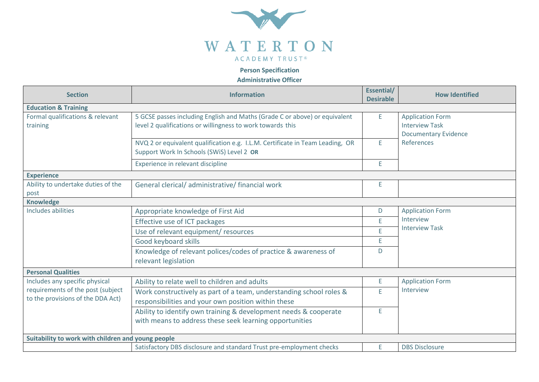

 **Person Specification**

**Administrative Officer**

| <b>Section</b>                                                                                           | <b>Information</b>                                                            | Essential/<br><b>Desirable</b> | <b>How Identified</b>                                         |  |  |
|----------------------------------------------------------------------------------------------------------|-------------------------------------------------------------------------------|--------------------------------|---------------------------------------------------------------|--|--|
| <b>Education &amp; Training</b>                                                                          |                                                                               |                                |                                                               |  |  |
| Formal qualifications & relevant                                                                         | 5 GCSE passes including English and Maths (Grade C or above) or equivalent    | E                              | <b>Application Form</b>                                       |  |  |
| training                                                                                                 | level 2 qualifications or willingness to work towards this                    |                                | <b>Interview Task</b><br><b>Documentary Evidence</b>          |  |  |
|                                                                                                          | NVQ 2 or equivalent qualification e.g. I.L.M. Certificate in Team Leading, OR | E.                             | References                                                    |  |  |
|                                                                                                          | Support Work In Schools (SWiS) Level 2 OR                                     |                                |                                                               |  |  |
|                                                                                                          | Experience in relevant discipline                                             | E                              |                                                               |  |  |
| <b>Experience</b>                                                                                        |                                                                               |                                |                                                               |  |  |
| Ability to undertake duties of the                                                                       | General clerical/ administrative/ financial work                              | E                              |                                                               |  |  |
| post                                                                                                     |                                                                               |                                |                                                               |  |  |
| <b>Knowledge</b>                                                                                         |                                                                               |                                |                                                               |  |  |
| Includes abilities                                                                                       | Appropriate knowledge of First Aid                                            | D                              | <b>Application Form</b><br>Interview<br><b>Interview Task</b> |  |  |
|                                                                                                          | Effective use of ICT packages                                                 | E                              |                                                               |  |  |
|                                                                                                          | Use of relevant equipment/ resources                                          | E.                             |                                                               |  |  |
|                                                                                                          | Good keyboard skills                                                          | E.                             |                                                               |  |  |
|                                                                                                          | Knowledge of relevant polices/codes of practice & awareness of                | D                              |                                                               |  |  |
|                                                                                                          | relevant legislation                                                          |                                |                                                               |  |  |
| <b>Personal Qualities</b>                                                                                |                                                                               |                                |                                                               |  |  |
| Includes any specific physical<br>requirements of the post (subject<br>to the provisions of the DDA Act) | Ability to relate well to children and adults                                 | E                              | <b>Application Form</b><br>Interview                          |  |  |
|                                                                                                          | Work constructively as part of a team, understanding school roles &           | E                              |                                                               |  |  |
|                                                                                                          | responsibilities and your own position within these                           |                                |                                                               |  |  |
|                                                                                                          | Ability to identify own training & development needs & cooperate              | E                              |                                                               |  |  |
|                                                                                                          | with means to address these seek learning opportunities                       |                                |                                                               |  |  |
| Suitability to work with children and young people                                                       |                                                                               |                                |                                                               |  |  |
|                                                                                                          | Satisfactory DBS disclosure and standard Trust pre-employment checks          | E.                             | <b>DBS Disclosure</b>                                         |  |  |